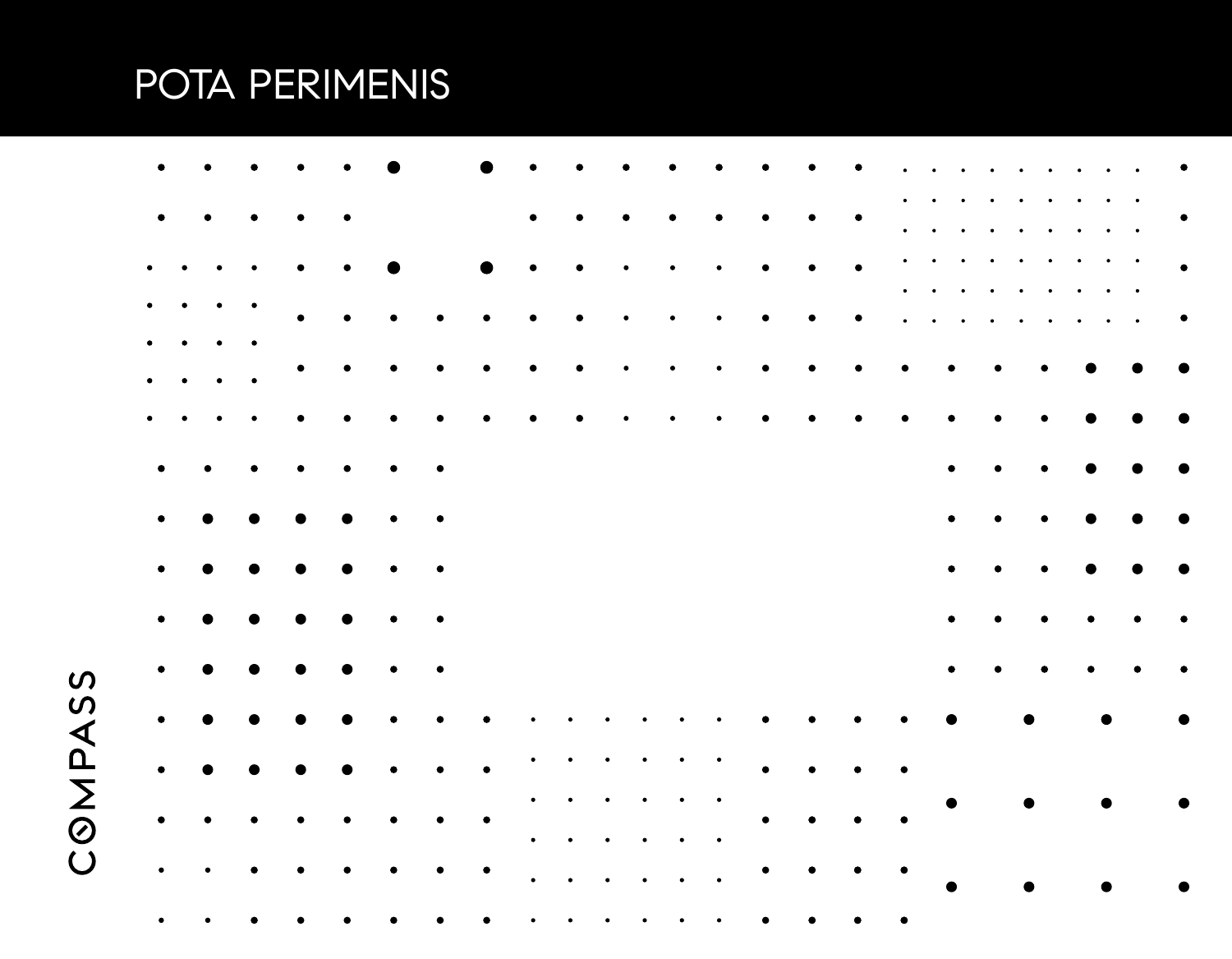# POTA PERIMENIS

| ٠         |           |           |           |           |           |           |           |           |           |   |           |           |           |           |           |                                      |                                               |           |                                                                                                                                                                                            |                                                     |                                                | $\bullet$ |
|-----------|-----------|-----------|-----------|-----------|-----------|-----------|-----------|-----------|-----------|---|-----------|-----------|-----------|-----------|-----------|--------------------------------------|-----------------------------------------------|-----------|--------------------------------------------------------------------------------------------------------------------------------------------------------------------------------------------|-----------------------------------------------------|------------------------------------------------|-----------|
| $\bullet$ | ٠         |           |           | $\bullet$ |           |           |           |           |           |   |           |           | $\bullet$ | $\bullet$ | $\bullet$ | $\bullet$ .<br>$\bullet$ . $\bullet$ |                                               |           | $\bullet$ .<br><br><br><br><br><br>$\bullet$ .<br><br><br><br><br><br><br><br><br><br><br><br><br><br>$\mathcal{L}^{\mathcal{A}}$ , and the set of the set of the set of the $\mathcal{A}$ | $\bullet$ . $\bullet$                               | $\bullet$ . $\bullet$<br>$\bullet$ . $\bullet$ | ٠         |
| $\bullet$ |           |           |           |           |           |           |           |           |           |   |           |           | ٠         |           |           |                                      |                                               |           |                                                                                                                                                                                            |                                                     | $\bullet$ . $\bullet$                          |           |
|           |           |           |           | $\bullet$ | $\bullet$ |           |           |           |           |   |           |           | $\bullet$ |           | ٠         |                                      | $\bullet$ , $\bullet$ , $\bullet$ , $\bullet$ |           |                                                                                                                                                                                            | <b>Contract Contract Contract Contract Contract</b> |                                                |           |
|           |           |           |           |           |           |           |           |           |           |   |           | $\bullet$ | $\bullet$ | ٠         |           |                                      |                                               |           |                                                                                                                                                                                            |                                                     |                                                |           |
| $\bullet$ | $\bullet$ |           |           |           |           | $\bullet$ |           | $\bullet$ | $\bullet$ |   | $\bullet$ | $\bullet$ | $\bullet$ | $\bullet$ | $\bullet$ | $\bullet$                            | $\bullet$                                     | $\bullet$ | $\bullet$                                                                                                                                                                                  |                                                     |                                                |           |
| $\bullet$ |           |           |           |           |           |           |           |           |           |   |           |           |           |           |           |                                      | $\bullet$                                     | $\bullet$ |                                                                                                                                                                                            |                                                     |                                                |           |
| $\bullet$ | $\bullet$ | $\bullet$ | $\bullet$ | $\bullet$ |           |           |           |           |           |   |           |           |           |           |           |                                      | $\bullet$                                     | $\bullet$ | $\bullet$                                                                                                                                                                                  |                                                     |                                                |           |
| $\bullet$ |           |           |           |           |           |           |           |           |           |   |           |           |           |           |           |                                      | $\bullet$                                     |           |                                                                                                                                                                                            |                                                     |                                                |           |
| $\bullet$ | $\bullet$ |           | $\bullet$ | $\bullet$ |           |           |           |           |           |   |           |           |           |           |           |                                      | $\bullet$                                     |           |                                                                                                                                                                                            |                                                     |                                                |           |
| $\bullet$ | $\bullet$ |           |           |           |           |           |           |           |           |   |           |           |           |           |           |                                      | $\bullet$                                     |           |                                                                                                                                                                                            |                                                     |                                                |           |
| $\bullet$ |           |           |           |           |           |           |           |           |           |   | $\bullet$ | $\bullet$ |           |           |           |                                      |                                               |           |                                                                                                                                                                                            |                                                     |                                                |           |
| $\bullet$ | $\bullet$ |           |           | $\bullet$ | $\bullet$ |           |           | ٠         |           | ٠ |           | ٠         | $\bullet$ |           | $\bullet$ |                                      |                                               |           |                                                                                                                                                                                            |                                                     |                                                |           |
|           |           |           |           |           |           |           | $\bullet$ |           |           |   |           | $\bullet$ |           |           |           |                                      |                                               |           |                                                                                                                                                                                            |                                                     |                                                |           |
|           |           |           |           | ٠         |           | ٠         | $\bullet$ | $\bullet$ |           |   |           |           | ٠         |           |           |                                      |                                               |           |                                                                                                                                                                                            |                                                     |                                                |           |
|           |           |           |           | ٠         | $\bullet$ | ٠         | $\bullet$ | $\bullet$ |           |   |           |           |           |           |           |                                      |                                               |           |                                                                                                                                                                                            |                                                     |                                                |           |
|           |           |           |           |           |           |           |           | $\bullet$ | $\bullet$ |   |           |           | $\bullet$ |           |           |                                      |                                               |           |                                                                                                                                                                                            |                                                     |                                                |           |

COMPASS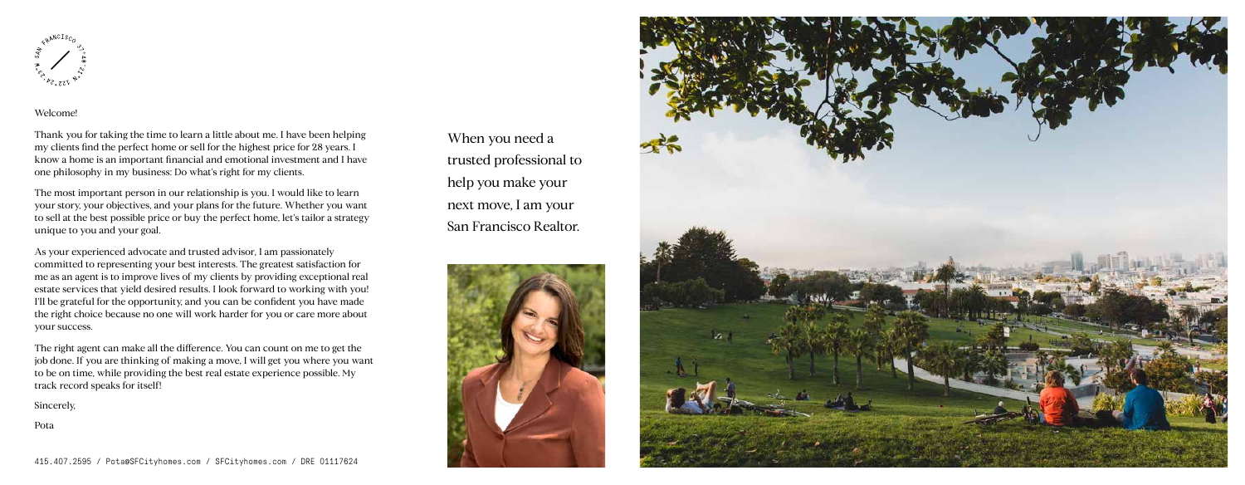

#### Welcome!

Thank you for taking the time to learn a little about me. I have been helping my clients find the perfect home or sell for the highest price for 28 years. I know a home is an important financial and emotional investment and I have one philosophy in my business: Do what's right for my clients.

The most important person in our relationship is you. I would like to learn your story, your objectives, and your plans for the future. Whether you want to sell at the best possible price or buy the perfect home, let's tailor a strategy unique to you and your goal.

As your experienced advocate and trusted advisor, I am passionately committed to representing your best interests. The greatest satisfaction for me as an agent is to improve lives of my clients by providing exceptional real estate services that yield desired results. I look forward to working with you! I'll be grateful for the opportunity, and you can be confident you have made the right choice because no one will work harder for you or care more about your success.

The right agent can make all the difference. You can count on me to get the job done. If you are thinking of making a move, I will get you where you want to be on time, while providing the best real estate experience possible. My track record speaks for itself!

Sincerely,

Pota

When you need a trusted professional to help you make your next move, I am your San Francisco Realtor.



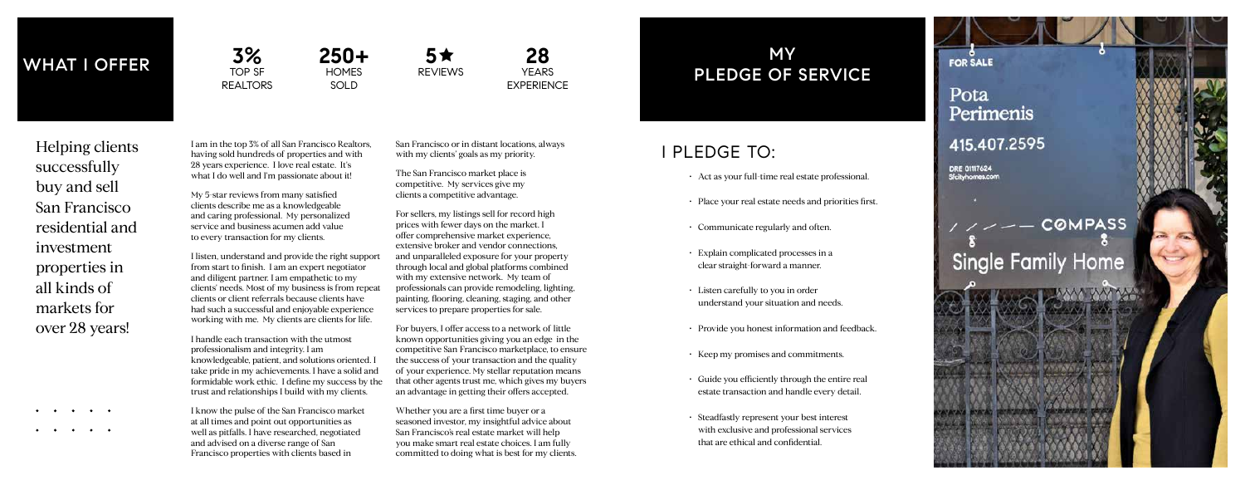I am in the top 3% of all San Francisco Realtors, having sold hundreds of properties and with 28 years experience. I love real estate. It's what I do well and I'm passionate about it!

My 5-star reviews from many satisfied clients describe me as a knowledgeable and caring professional. My personalized service and business acumen add value to every transaction for my clients.

I listen, understand and provide the right support from start to finish. I am an expert negotiator and diligent partner. I am empathetic to my clients' needs. Most of my business is from repeat clients or client referrals because clients have had such a successful and enjoyable experience working with me. My clients are clients for life.

I handle each transaction with the utmost professionalism and integrity. I am knowledgeable, patient, and solutions oriented. I take pride in my achievements. I have a solid and formidable work ethic. I define my success by the trust and relationships I build with my clients.

I know the pulse of the San Francisco market at all times and point out opportunities as well as pitfalls. I have researched, negotiated and advised on a diverse range of San Francisco properties with clients based in

San Francisco or in distant locations, always with my clients' goals as my priority.

The San Francisco market place is competitive. My services give my clients a competitive advantage.

For sellers, my listings sell for record high prices with fewer days on the market. I offer comprehensive market experience, extensive broker and vendor connections, and unparalleled exposure for your property through local and global platforms combined with my extensive network. My team of professionals can provide remodeling, lighting, painting, flooring, cleaning, staging, and other services to prepare properties for sale.

For buyers, I offer access to a network of little known opportunities giving you an edge in the competitive San Francisco marketplace, to ensure the success of your transaction and the quality of your experience. My stellar reputation means that other agents trust me, which gives my buyers an advantage in getting their offers accepted.

Whether you are a first time buyer or a seasoned investor, my insightful advice about San Francisco's real estate market will help you make smart real estate choices. I am fully committed to doing what is best for my clients.

- Act as your full-time real estate professional.
- Place your real estate needs and priorities first.
- Communicate regularly and often.
- Explain complicated processes in a clear straight-forward a manner.
- Listen carefully to you in order understand your situation and needs.
- Provide you honest information and feedback.
- Keep my promises and commitments.
- Guide you efficiently through the entire real estate transaction and handle every detail.
- Steadfastly represent your best interest with exclusive and professional services that are ethical and confidential.



**FOR SALE** 

# Pota Perimenis 415.407.2595

**DRE 01117624** Sfcityhomes.com

# $--$  COMPASS **Single Family Home**

# Helping clients successfully buy and sell San Francisco residential and investment properties in all kinds of markets for over 28 years!

 $\begin{array}{cccccccccccccc} \bullet & \bullet & \bullet & \bullet & \bullet & \bullet & \bullet \end{array}$  $\begin{array}{cccccccccccccc} \bullet & \bullet & \bullet & \bullet & \bullet & \bullet & \bullet \end{array}$ 

## MY PLEDGE OF SERVICE

# PLEDGE TO:

**3%** TOP SF REALTORS

**250+** HOMES SOLD

**5**ê REVIEWS

**28** YEARS EXPERIENCE

### WHAT I OFFER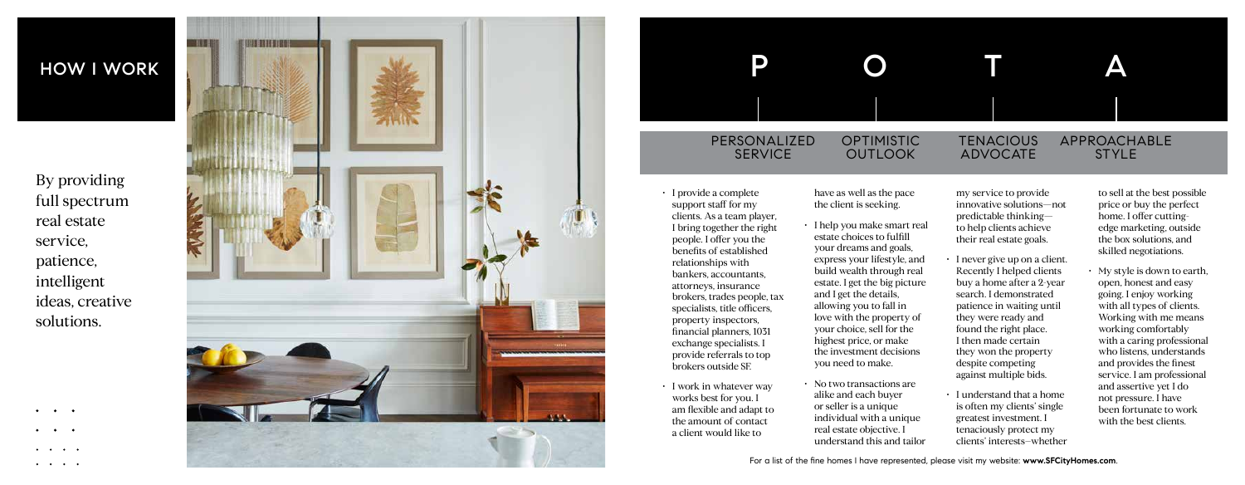### HOW I WORK

By providing full spectrum real estate service, patience, intelligent ideas, creative solutions.

 $\bullet\qquad\bullet\qquad\bullet$ 

 $\bullet \qquad \bullet \qquad \bullet$ 

 $\begin{array}{cccccccccccccc} \bullet & \bullet & \bullet & \bullet & \bullet & \bullet \end{array}$  $\begin{array}{cccccccccccccc} \bullet & \bullet & \bullet & \bullet & \bullet & \bullet \end{array}$ 



- I provide a complete support staff for my clients. As a team player, I bring together the right people. I offer you the benefits of established relationships with bankers, accountants, attorneys, insurance brokers, trades people, tax specialists, title officers, property inspectors, financial planners, 1031 exchange specialists. I provide referrals to top brokers outside SF.
- I work in whatever way works best for you. I am flexible and adapt to the amount of contact a client would like to

have as well as the pace the client is seeking.

• I help you make smart real express your lifestyle, and build wealth through real estate. I get the big picture love with the property of the investment decisions

- estate choices to fulfill your dreams and goals, and I get the details, allowing you to fall in your choice, sell for the highest price, or make you need to make.
- No two transactions are alike and each buyer or seller is a unique real estate objective. I

#### **TENACIOUS** ADVOCATE

individual with a unique understand this and tailor



my service to provide innovative solutions—not predictable thinking to help clients achieve their real estate goals.

- I never give up on a client. Recently I helped clients buy a home after a 2-year search. I demonstrated patience in waiting until they were ready and found the right place. I then made certain they won the property despite competing against multiple bids.
- I understand that a home is often my clients' single greatest investment. I tenaciously protect my clients' interests–whether

to sell at the best possible price or buy the perfect home. I offer cuttingedge marketing, outside the box solutions, and skilled negotiations.

• My style is down to earth, open, honest and easy going. I enjoy working with all types of clients. Working with me means working comfortably with a caring professional who listens, understands and provides the finest service. I am professional and assertive yet I do not pressure. I have been fortunate to work with the best clients.

### OPTIMISTIC OUTLOOK

#### APPROACHABLE STYLE

For a list of the fine homes I have represented, please visit my website: **www.SFCityHomes.com** .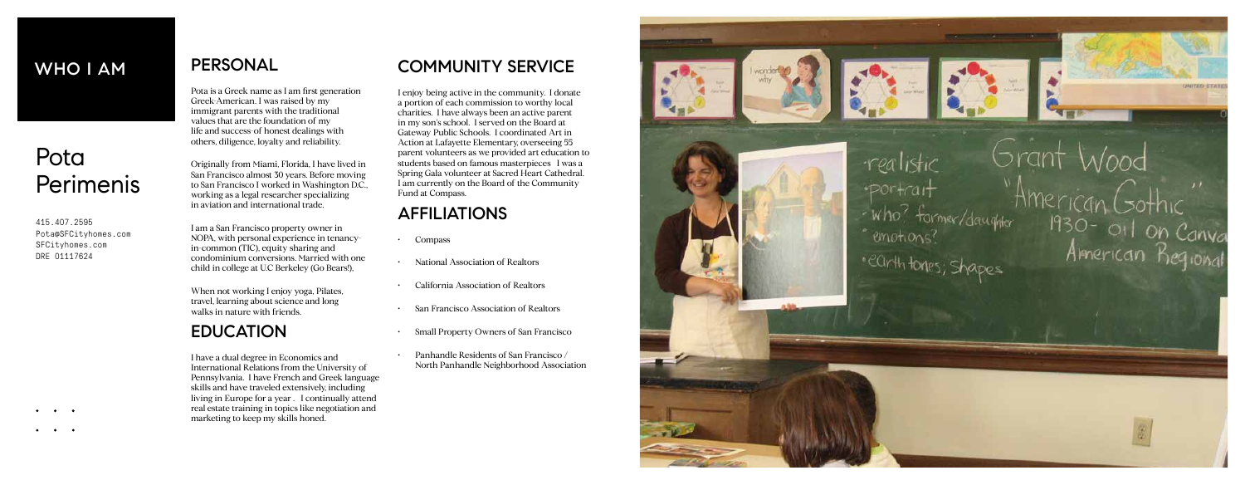# Pota Perimenis

### PERSONAL

Pota is a Greek name as I am first generation Greek-American. I was raised by my immigrant parents with the traditional values that are the foundation of my life and success-of honest dealings with others, diligence, loyalty and reliability.

Originally from Miami, Florida, I have lived in San Francisco almost 30 years. Before moving to San Francisco I worked in Washington D.C., working as a legal researcher specializing in aviation and international trade.

I am a San Francisco property owner in NOPA, with personal experience in tenancyin-common (TIC), equity sharing and condominium conversions. Married with one child in college at U.C Berkeley (Go Bears!),

When not working I enjoy yoga, Pilates, travel, learning about science and long walks in nature with friends.

## EDUCATION

I have a dual degree in Economics and International Relations from the University of Pennsylvania. I have French and Greek language skills and have traveled extensively, including living in Europe for a year . I continually attend real estate training in topics like negotiation and marketing to keep my skills honed.

# COMMUNITY SERVICE

I enjoy being active in the community. I donate a portion of each commission to worthy local charities. I have always been an active parent in my son's school. I served on the Board at Gateway Public Schools. I coordinated Art in Action at Lafayette Elementary, overseeing 55 parent volunteers as we provided art education to students based on famous masterpieces I was a Spring Gala volunteer at Sacred Heart Cathedral. I am currently on the Board of the Community Fund at Compass.

## AFFILIATIONS

- Compass
- National Association of Realtors
- California Association of Realtors
- San Francisco Association of Realtors
- Small Property Owners of San Francisco
	- Panhandle Residents of San Francisco / North Panhandle Neighborhood Association



1930- oil on Canva<br>American Regional

415.407.2595 Pota@SFCityhomes.com SFCityhomes.com DRE 01117624

 $\bullet\qquad\bullet\qquad\bullet$  $\bullet\qquad\bullet\qquad\bullet$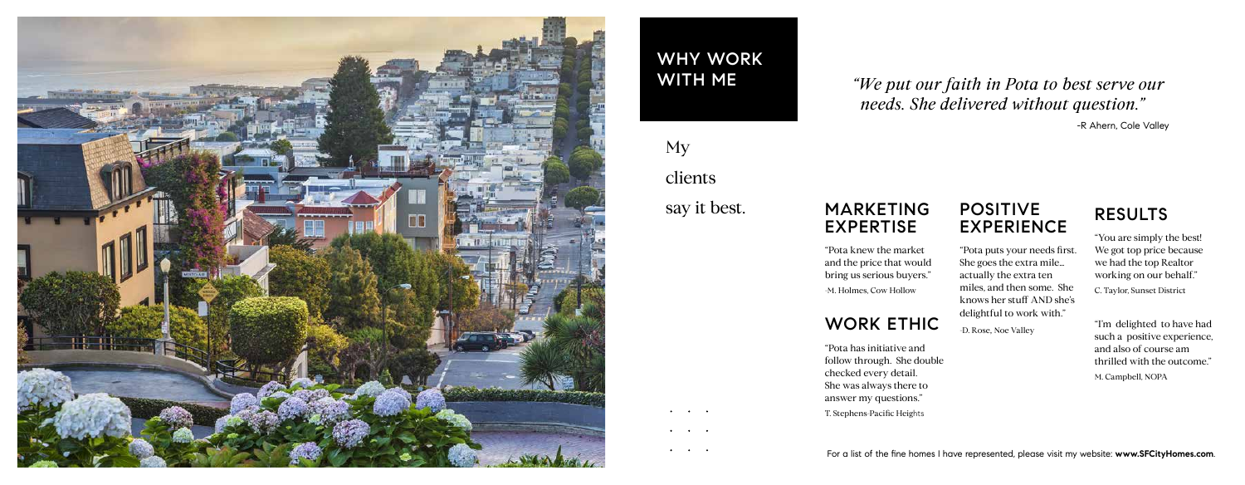### *"We put our faith in Pota to best serve our needs. She delivered without question."*

-R Ahern, Cole Valley

## MARKETING EXPERTISE

"Pota knew the market and the price that would bring us serious buyers."

-M. Holmes, Cow Hollow

# WORK ETHIC

"Pota has initiative and follow through. She double checked every detail. She was always there to answer my questions." T. Stephens-Pacific Heights

### POSITIVE EXPERIENCE

"Pota puts your needs first. She goes the extra mile… actually the extra ten miles, and then some. She knows her stuff AND she's delightful to work with."

-D. Rose, Noe Valley

# RESULTS

"You are simply the best! We got top price because we had the top Realtor working on our behalf."

C. Taylor, Sunset District

"I'm delighted to have had such a positive experience, and also of course am thrilled with the outcome." M. Campbell, NOPA



# WHY WORK WITH ME

My clients say it best.

 $\bullet \qquad \bullet \qquad \bullet$  $\begin{array}{cccccccccccccc} \bullet & \bullet & \bullet & \bullet & \bullet & \bullet \end{array}$ 

 $\bullet \qquad \bullet \qquad \bullet$ 

For a list of the fine homes I have represented, please visit my website: **www.SFCityHomes.com**.